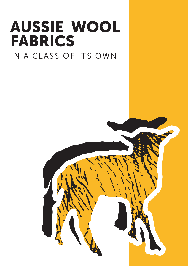# **AUSSIE WOOL FABRICS** IN A CLASS OF ITS OWN

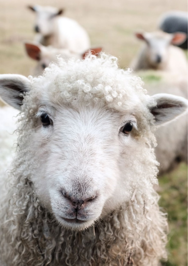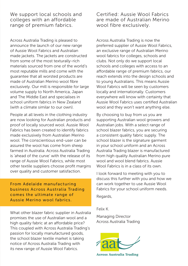We support local schools and colleges with an affordable range of premium fabrics.

Across Australia Trading is pleased to announce the launch of our new range of Aussie Wool Fabrics and Australian made jackets. The jackets are constructed from some of the most texturally-rich materials sourced from one of the world's most reputable mills and come with the guarantee that all worsted products are made of Australian Merino wool fibre exclusively. Our mill is responsible for large volume supply to North America, Japan and The Middle East and specialises in school uniform fabrics in New Zealand (with a climate similar to our own).

People at all levels in the clothing industry are now looking for Australian products and proof of locally sourced wool. Aussie Wool Fabrics has been created to identify fabrics made exclusively from Australian Merino wool. The conscientious end-user can be assured the wool has come from sheep farmed in Australia. Across Australia Trading is 'ahead of the curve' with the release of its range of Aussie Wool Fabrics, while most other textile suppliers choose profit margins over quality and customer satisfaction.

From Adelaide manufacturing business Across Australia Trading comes the ultimate range of Aussie Merino wool fabrics.

What other blazer fabric supplier in Australia promises the use of Australian wool and a high quality fabric at an affordable price? This coupled with Across Australia Trading's passion for locally manufactured goods, the school blazer textile market is taking notice of Across Australia Trading with its new range of Aussie Wool Fabrics.

Certified: Aussie Wool Fabrics are made of Australian Merino wool fibre exclusively.

Across Australia Trading is now the preferred supplier of Aussie Wool Fabrics, an exclusive range of Australian Merino wool fabrics for colleges, schools and clubs. Not only do we support local schools and colleges with access to an affordable range of premium fabrics, our reach extends into the design schools and to young Australians. This means Aussie Wool Fabrics will be seen by customers locally and internationally. Customers everywhere will know with certainty that Aussie Wool Fabrics uses certified Australian wool and they won't want anything else.

By choosing to buy from us you are supporting Australian wool growers and Australian jobs. With a select range of school blazer fabrics, you are securing a consistent quality fabric supply. The school blazer is the signature garment in your school uniform and an Across Australia Trading blazer is manufactured from high quality Australian Merino pure wool and wool blend fabrics. Aussie Wool Fabrics is in a class of its own.

I look forward to meeting with you to discuss this further with you and how we can work together to use Aussie Wool Fabrics for your school uniform needs.

Regards,

Felix K.

Managing Director Across Australia Trading



**Across Australia Trading**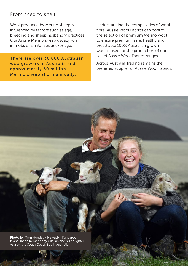#### From shed to shelf.

Wool produced by Merino sheep is influenced by factors such as age, breeding and sheep husbandry practices. Our Aussie Merino sheep usually run in mobs of similar sex and/or age.

There are over 30,000 Australian woolgrowers in Australia and approximately 60 million Merino sheep shorn annually.

Understanding the complexities of wool fibre, Aussie Wool Fabrics can control the selection of premium Merino wool to ensure premium, safe, healthy and breathable 100% Australian grown wool is used for the production of our select Aussie Wool Fabrics ranges.

Across Australia Trading remains the preferred supplier of Aussie Wool Fabrics.

Photo by: Tom Huntley / Newspix | Kangaroo Island sheep farmer Andy Gilfillan and his daughter Asia on the South Coast, South Australia.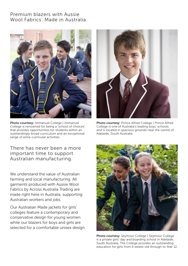#### Premium blazers with Aussie Wool Fabrics: Made in Australia.



Photo courtesy: Immanuel College | Immanuel College is renowned for being a 'school of choices' that provides opportunities for students within an outstandingly broad curriculum and an exceptional range of extra-curricular activities.

There has never been a more important time to support Australian manufacturing.

We understand the value of Australian farming and local manufacturing. All garments produced with Aussie Wool Fabrics by Across Australia Trading are made right here in Australia, supporting Australian workers and jobs.

Our Australian Made jackets for girls' colleges feature a contemporary and conservative design for young women while our blazers for boys and girls are selected for a comfortable unisex design.



Photo courtesy: Prince Alfred College | Prince Alfred College is one of Australia's leading boys' schools and is located in spacious grounds near the centre of Adelaide, South Australia.



Photo courtesy: Seymour College | Seymour College is a private girls' day and boarding school in Adelaide, South Australia. The College provides an outstanding education for girls from 6 weeks old through to Year 12.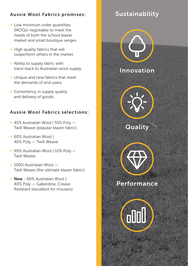### Aussie Wool Fabrics promises:

- **>** Low minimum order quantities (MOQs) negotiable to meet the needs of both the school blazer market and small boutique ranges.
- If High quality fabrics that will outperform others in the market.
- › Ability to supply fabric with trace-back to Australian wool supply.
- I Unique and new fabrics that meet the demands of end users.
- **>** Consistency in supply quality and delivery of goods.

## Aussie Wool Fabrics selections:

- › 45% Australian Wool | 55% Poly Twill Weave (popular blazer fabric).
- › 60% Australian Wool | 40% Poly — Twill Weave.
- › 90% Australian Wool | 10% Poly Twill Weave.
- › 100% Australian Wool Twill Weave (the ultimate blazer fabric).
- › New 60% Australian Wool | 40% Poly — Gaberdine, Crease Resistant (excellent for trousers).

# Sustainability

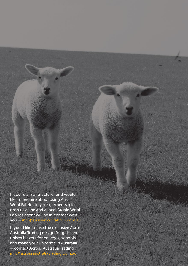If you're a manufacturer and would like to enquire about using Aussie Wool Fabrics in your garments, please drop us a line and a local Aussie Wool Fabrics agent will be in contact with you – info@aussiewoolfabrics.com.au

If you'd like to use the exclusive Across Australia Trading design for girls' and unisex blazers for colleges, schools and make your uniforms in Australia – contact Across Australia Trading info@acrossaustraliatrading.com.au